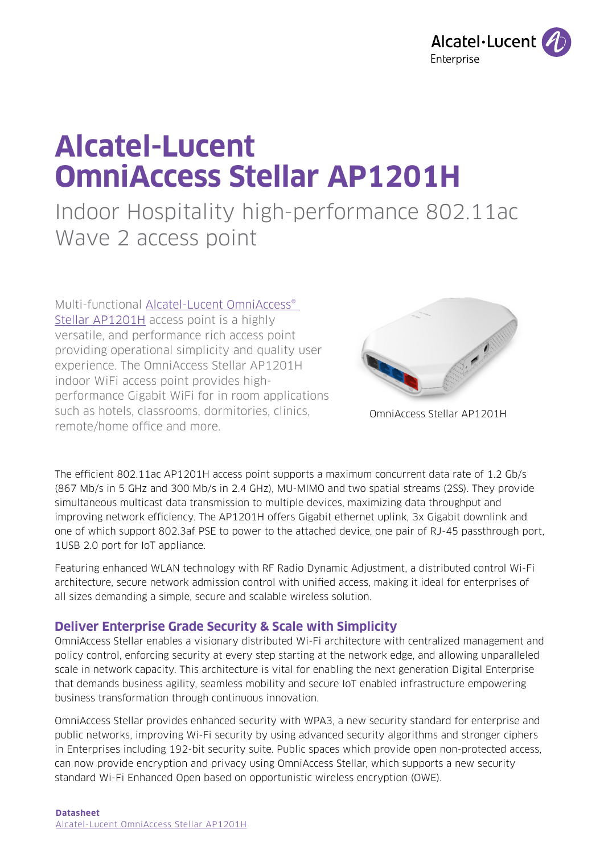

# **Alcatel-Lucent OmniAccess Stellar AP1201H**

## Indoor Hospitality high-performance 802.11ac Wave 2 access point

Multi-functional Alcatel-Lucent OmniAccess® [Stellar AP1201H](https://www.al-enterprise.com/en/products/wlan/omniaccess-stellar-access-point-1201H?utm_source=digital-asset&utm_medium=pdf&utm_campaign=doc-link) access point is a highly versatile, and performance rich access point providing operational simplicity and quality user experience. The OmniAccess Stellar AP1201H indoor WiFi access point provides highperformance Gigabit WiFi for in room applications such as hotels, classrooms, dormitories, clinics, remote/home office and more.



OmniAccess Stellar AP1201H

The efficient 802.11ac AP1201H access point supports a maximum concurrent data rate of 1.2 Gb/s (867 Mb/s in 5 GHz and 300 Mb/s in 2.4 GHz), MU-MIMO and two spatial streams (2SS). They provide simultaneous multicast data transmission to multiple devices, maximizing data throughput and improving network efficiency. The AP1201H offers Gigabit ethernet uplink, 3x Gigabit downlink and one of which support 802.3af PSE to power to the attached device, one pair of RJ-45 passthrough port, 1USB 2.0 port for IoT appliance.

Featuring enhanced WLAN technology with RF Radio Dynamic Adjustment, a distributed control Wi-Fi architecture, secure network admission control with unified access, making it ideal for enterprises of all sizes demanding a simple, secure and scalable wireless solution.

## **Deliver Enterprise Grade Security & Scale with Simplicity**

OmniAccess Stellar enables a visionary distributed Wi-Fi architecture with centralized management and policy control, enforcing security at every step starting at the network edge, and allowing unparalleled scale in network capacity. This architecture is vital for enabling the next generation Digital Enterprise that demands business agility, seamless mobility and secure IoT enabled infrastructure empowering business transformation through continuous innovation.

OmniAccess Stellar provides enhanced security with WPA3, a new security standard for enterprise and public networks, improving Wi-Fi security by using advanced security algorithms and stronger ciphers in Enterprises including 192-bit security suite. Public spaces which provide open non-protected access, can now provide encryption and privacy using OmniAccess Stellar, which supports a new security standard Wi-Fi Enhanced Open based on opportunistic wireless encryption (OWE).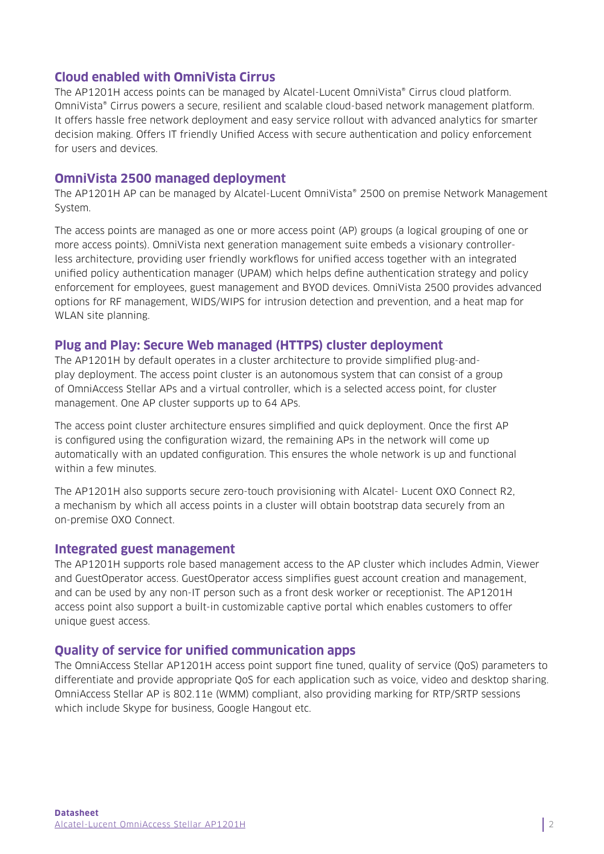## **Cloud enabled with OmniVista Cirrus**

The AP1201H access points can be managed by Alcatel-Lucent OmniVista® Cirrus cloud platform. OmniVista® Cirrus powers a secure, resilient and scalable cloud-based network management platform. It offers hassle free network deployment and easy service rollout with advanced analytics for smarter decision making. Offers IT friendly Unified Access with secure authentication and policy enforcement for users and devices.

### **OmniVista 2500 managed deployment**

The AP1201H AP can be managed by Alcatel-Lucent OmniVista® 2500 on premise Network Management System.

The access points are managed as one or more access point (AP) groups (a logical grouping of one or more access points). OmniVista next generation management suite embeds a visionary controllerless architecture, providing user friendly workflows for unified access together with an integrated unified policy authentication manager (UPAM) which helps define authentication strategy and policy enforcement for employees, guest management and BYOD devices. OmniVista 2500 provides advanced options for RF management, WIDS/WIPS for intrusion detection and prevention, and a heat map for WLAN site planning.

## **Plug and Play: Secure Web managed (HTTPS) cluster deployment**

The AP1201H by default operates in a cluster architecture to provide simplified plug-andplay deployment. The access point cluster is an autonomous system that can consist of a group of OmniAccess Stellar APs and a virtual controller, which is a selected access point, for cluster management. One AP cluster supports up to 64 APs.

The access point cluster architecture ensures simplified and quick deployment. Once the first AP is configured using the configuration wizard, the remaining APs in the network will come up automatically with an updated configuration. This ensures the whole network is up and functional within a few minutes.

The AP1201H also supports secure zero-touch provisioning with Alcatel- Lucent OXO Connect R2, a mechanism by which all access points in a cluster will obtain bootstrap data securely from an on-premise OXO Connect.

#### **Integrated guest management**

The AP1201H supports role based management access to the AP cluster which includes Admin, Viewer and GuestOperator access. GuestOperator access simplifies guest account creation and management, and can be used by any non-IT person such as a front desk worker or receptionist. The AP1201H access point also support a built-in customizable captive portal which enables customers to offer unique guest access.

## **Quality of service for unified communication apps**

The OmniAccess Stellar AP1201H access point support fine tuned, quality of service (QoS) parameters to differentiate and provide appropriate QoS for each application such as voice, video and desktop sharing. OmniAccess Stellar AP is 802.11e (WMM) compliant, also providing marking for RTP/SRTP sessions which include Skype for business, Google Hangout etc.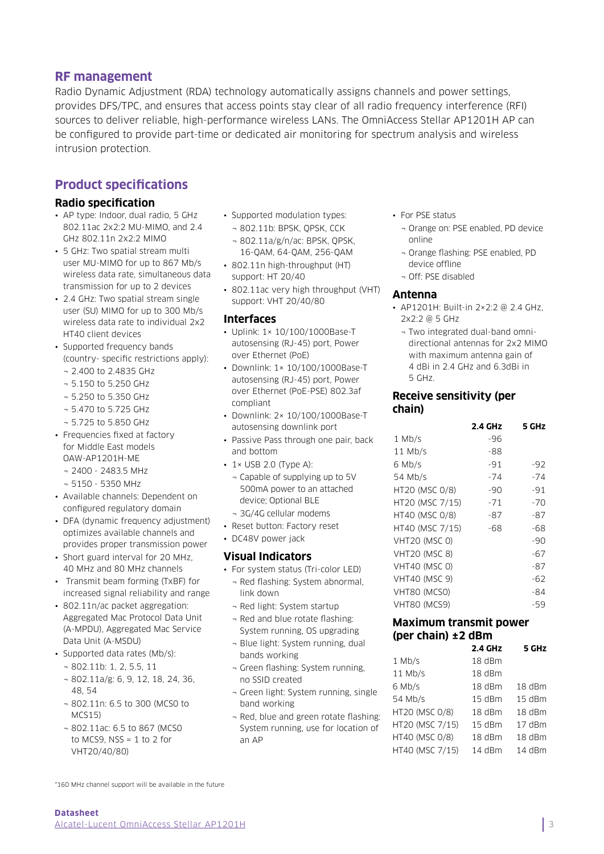#### **RF management**

Radio Dynamic Adjustment (RDA) technology automatically assigns channels and power settings, provides DFS/TPC, and ensures that access points stay clear of all radio frequency interference (RFI) sources to deliver reliable, high-performance wireless LANs. The OmniAccess Stellar AP1201H AP can be configured to provide part-time or dedicated air monitoring for spectrum analysis and wireless intrusion protection.

## **Product specifications**

#### **Radio specification**

- AP type: Indoor, dual radio, 5 GHz 802.11ac 2x2:2 MU-MIMO, and 2.4 GHz 802.11n 2x2:2 MIMO
- 5 GHz: Two spatial stream multi user MU-MIMO for up to 867 Mb/s wireless data rate, simultaneous data transmission for up to 2 devices
- 2.4 GHz: Two spatial stream single user (SU) MIMO for up to 300 Mb/s wireless data rate to individual 2x2 HT40 client devices
- Supported frequency bands (country- specific restrictions apply):
	- ¬ 2.400 to 2.4835 GHz
	- ¬ 5.150 to 5.250 GHz
	- ¬ 5.250 to 5.350 GHz
	- ¬ 5.470 to 5.725 GHz
	- ¬ 5.725 to 5.850 GHz
- Frequencies fixed at factory for Middle East models OAW-AP1201H-ME
	- ¬ 2400 2483.5 MHz
	- ¬ 5150 5350 MHz
- Available channels: Dependent on configured regulatory domain
- DFA (dynamic frequency adjustment) optimizes available channels and provides proper transmission power
- Short guard interval for 20 MHz, 40 MHz and 80 MHz channels
- Transmit beam forming (TxBF) for increased signal reliability and range
- 802.11n/ac packet aggregation: Aggregated Mac Protocol Data Unit (A-MPDU), Aggregated Mac Service Data Unit (A-MSDU)
- Supported data rates (Mb/s):
	- ¬ 802.11b: 1, 2, 5.5, 11
	- ¬ 802.11a/g: 6, 9, 12, 18, 24, 36, 48, 54
	- ¬ 802.11n: 6.5 to 300 (MCS0 to MCS15)
	- ¬ 802.11ac: 6.5 to 867 (MCS0 to MCS9,  $NSS = 1$  to 2 for VHT20/40/80)
- Supported modulation types:
- ¬ 802.11b: BPSK, QPSK, CCK ¬ 802.11a/g/n/ac: BPSK, QPSK,
- 16-QAM, 64-QAM, 256-QAM
- 802.11n high-throughput (HT) support: HT 20/40
- 802.11ac very high throughput (VHT) support: VHT 20/40/80

#### **Interfaces**

- Uplink: 1× 10/100/1000Base-T autosensing (RJ-45) port, Power over Ethernet (PoE)
- Downlink: 1× 10/100/1000Base-T autosensing (RJ-45) port, Power over Ethernet (PoE-PSE) 802.3af compliant
- Downlink: 2× 10/100/1000Base-T autosensing downlink port
- Passive Pass through one pair, back and bottom
- $\cdot$  1× USB 2.0 (Type A):
- ¬ Capable of supplying up to 5V 500mA power to an attached device; Optional BLE
- ¬ 3G/4G cellular modems
- Reset button: Factory reset
- DC48V power jack

#### **Visual Indicators**

- For system status (Tri-color LED)
- ¬ Red flashing: System abnormal, link down
- ¬ Red light: System startup
- ¬ Red and blue rotate flashing: System running, OS upgrading
- ¬ Blue light: System running, dual bands working
- ¬ Green flashing: System running, no SSID created
- ¬ Green light: System running, single band working
- ¬ Red, blue and green rotate flashing: System running, use for location of an AP
- For PSE status
	- ¬ Orange on: PSE enabled, PD device online
	- ¬ Orange flashing: PSE enabled, PD device offline
	- ¬ Off: PSE disabled

#### **Antenna**

- AP1201H: Built-in 2×2:2 @ 2.4 GHz. 2x2:2 @ 5 GHz
	- ¬ Two integrated dual-band omnidirectional antennas for 2x2 MIMO with maximum antenna gain of 4 dBi in 2.4 GHz and 6.3dBi in 5 GHz.

#### **Receive sensitivity (per chain)**

|                      | 2.4 GHz | 5 GHz |
|----------------------|---------|-------|
| $1$ Mb/s             | -96     |       |
| $11$ Mb/s            | -88     |       |
| 6 Mb/s               | $-91$   | $-92$ |
| 54 Mb/s              | $-74$   | $-74$ |
| HT20 (MSC 0/8)       | -90     | -91   |
| HT20 (MSC 7/15)      | -71     | $-70$ |
| HT40 (MSC 0/8)       | -87     | -87   |
| HT40 (MSC 7/15)      | -68     | -68   |
| <b>VHT20 (MSC 0)</b> |         | -90   |
| <b>VHT20 (MSC 8)</b> |         | $-67$ |
| <b>VHT40 (MSC 0)</b> |         | -87   |
| <b>VHT40 (MSC 9)</b> |         | -62   |
| VHT80 (MCS0)         |         | -84   |
| <b>VHT80 (MCS9)</b>  |         | -59   |

#### **Maximum transmit power (per chain) ±2 dBm**

|                 | <b>2.4 GHz</b> | 5 GHz    |
|-----------------|----------------|----------|
| $1$ Mb/s        | 18 dBm         |          |
| $11$ Mb/s       | 18 dBm         |          |
| 6 Mb/s          | 18 dBm         | 18 dBm   |
| 54 Mb/s         | $15$ dBm       | 15 dBm   |
| HT20 (MSC 0/8)  | $18$ dBm       | $18$ dBm |
| HT20 (MSC 7/15) | $15$ dBm       | $17$ dBm |
| HT40 (MSC 0/8)  | 18 dBm         | 18 dBm   |
| HT40 (MSC 7/15) | 14 dBm         | 14 dBm   |

\*160 MHz channel support will be available in the future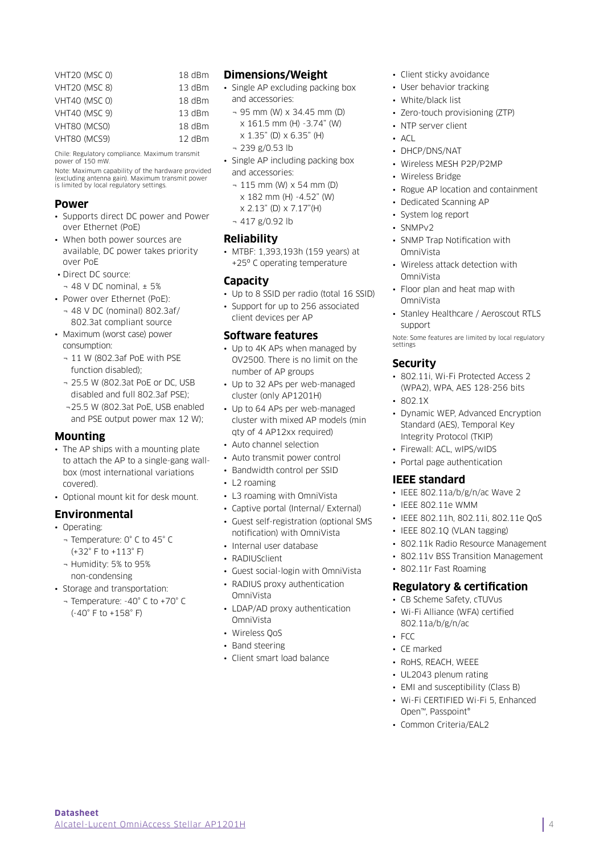| <b>VHT20 (MSC 0)</b> | 18 dBm   |
|----------------------|----------|
| <b>VHT20 (MSC 8)</b> | 13 dBm   |
| <b>VHT40 (MSC 0)</b> | 18 dBm   |
| <b>VHT40 (MSC 9)</b> | $13$ dBm |
| VHT80 (MCSO)         | $18$ dBm |
| VHT80 (MCS9)         | 12 dBm   |

Chile: Regulatory compliance. Maximum transmit power of 150 mW.

Note: Maximum capability of the hardware provided (excluding antenna gain). Maximum transmit power is limited by local regulatory settings.

#### **Power**

- Supports direct DC power and Power over Ethernet (PoE)
- When both power sources are available, DC power takes priority over PoE
- Direct DC source:
- $-48$  V DC nominal,  $\pm 5\%$
- Power over Ethernet (PoE): ¬ 48 V DC (nominal) 802.3af/
- 802.3at compliant source • Maximum (worst case) power
- consumption:
- ¬ 11 W (802.3af PoE with PSE function disabled);
- ¬ 25.5 W (802.3at PoE or DC, USB disabled and full 802.3af PSE);
- ¬25.5 W (802.3at PoE, USB enabled and PSE output power max 12 W);

#### **Mounting**

- The AP ships with a mounting plate to attach the AP to a single-gang wallbox (most international variations covered).
- Optional mount kit for desk mount

#### **Environmental**

- Operating:
	- ¬ Temperature: 0° C to 45° C (+32° F to +113° F)
	- ¬ Humidity: 5% to 95% non-condensing
- Storage and transportation:
- ¬ Temperature: -40° C to +70° C (-40° F to +158° F)

#### **Dimensions/Weight**

- Single AP excluding packing box and accessories:
	- ¬ 95 mm (W) x 34.45 mm (D) x 161.5 mm (H) -3.74" (W)
	- x 1.35" (D) x 6.35" (H)
	- ¬ 239 g/0.53 lb
- Single AP including packing box and accessories:
	- ¬ 115 mm (W) x 54 mm (D) x 182 mm (H) -4.52" (W) x 2.13" (D) x 7.17"(H)
	- $-417$  g/0.92 lb

#### **Reliability**

• MTBF: 1,393,193h (159 years) at +25º C operating temperature

#### **Capacity**

- Up to 8 SSID per radio (total 16 SSID)
- Support for up to 256 associated client devices per AP

## **Software features**

- Up to 4K APs when managed by OV2500. There is no limit on the number of AP groups
- Up to 32 APs per web-managed cluster (only AP1201H)
- Up to 64 APs per web-managed cluster with mixed AP models (min qty of 4 AP12xx required)
- Auto channel selection
- Auto transmit power control
- Bandwidth control per SSID
- L2 roaming
- L3 roaming with OmniVista
- Captive portal (Internal/ External)
- Guest self-registration (optional SMS notification) with OmniVista
- Internal user database
- RADIUSclient
- Guest social-login with OmniVista
- RADIUS proxy authentication OmniVista
- LDAP/AD proxy authentication **OmniVista**
- Wireless QoS
- Band steering
- Client smart load balance
- Client sticky avoidance
- User behavior tracking
- White/black list
- Zero-touch provisioning (ZTP)
- NTP server client
- $\overline{\phantom{a}}$   $\overline{\phantom{a}}$
- DHCP/DNS/NAT
- Wireless MESH P2P/P2MP
- Wireless Bridge
- Rogue AP location and containment
- Dedicated Scanning AP
- System log report
- SNMPv2
- SNMP Trap Notification with OmniVista
- Wireless attack detection with OmniVista
- Floor plan and heat map with OmniVista
- Stanley Healthcare / Aeroscout RTLS support

Note: Some features are limited by local regulatory settings

#### **Security**

- 802.11i, Wi-Fi Protected Access 2 (WPA2), WPA, AES 128-256 bits
- 802.1X
- Dynamic WEP, Advanced Encryption Standard (AES), Temporal Key Integrity Protocol (TKIP)
- Firewall: ACL, wIPS/wIDS
- Portal page authentication

#### **IEEE standard**

- IEEE 802.11a/b/g/n/ac Wave 2
- $\cdot$  IFFF 802.11e WMM
- IEEE 802.11h, 802.11i, 802.11e QoS
- IEEE 802.1Q (VLAN tagging)
- 802.11k Radio Resource Management
- 802.11v BSS Transition Management
- 802.11r Fast Roaming

#### **Regulatory & certification**

- CB Scheme Safety, cTUVus
- Wi-Fi Alliance (WFA) certified 802.11a/b/g/n/ac
- $-$  FCC
- CE marked
- RoHS, REACH, WEEE
- UL2043 plenum rating
- EMI and susceptibility (Class B)
- Wi-Fi CERTIFIED Wi-Fi 5, Enhanced Open™, Passpoint®
- Common Criteria/EAL2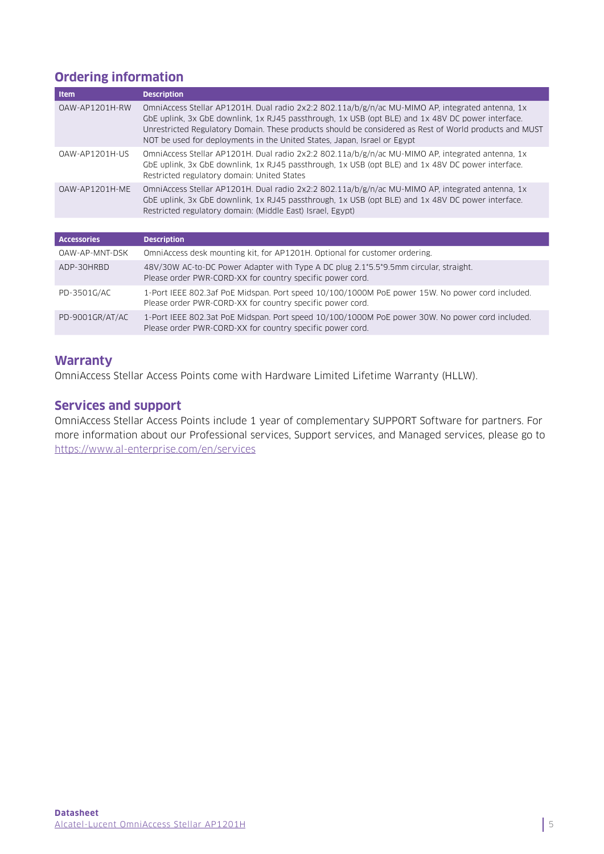## **Ordering information**

| <b>Item</b>        | <b>Description</b>                                                                                                                                                                                                                                                                                                                                                                          |
|--------------------|---------------------------------------------------------------------------------------------------------------------------------------------------------------------------------------------------------------------------------------------------------------------------------------------------------------------------------------------------------------------------------------------|
| OAW-AP1201H-RW     | OmniAccess Stellar AP1201H. Dual radio 2x2:2 802.11a/b/g/n/ac MU-MIMO AP, integrated antenna, 1x<br>GbE uplink, 3x GbE downlink, 1x RJ45 passthrough, 1x USB (opt BLE) and 1x 48V DC power interface.<br>Unrestricted Regulatory Domain. These products should be considered as Rest of World products and MUST<br>NOT be used for deployments in the United States, Japan, Israel or Egypt |
| OAW-AP1201H-US     | OmniAccess Stellar AP1201H. Dual radio 2x2:2 802.11a/b/g/n/ac MU-MIMO AP, integrated antenna, 1x<br>GbE uplink, 3x GbE downlink, 1x RJ45 passthrough, 1x USB (opt BLE) and 1x 48V DC power interface.<br>Restricted regulatory domain: United States                                                                                                                                        |
| OAW-AP1201H-ME     | OmniAccess Stellar AP1201H. Dual radio 2x2:2 802.11a/b/g/n/ac MU-MIMO AP, integrated antenna, 1x<br>GbE uplink, 3x GbE downlink, 1x RJ45 passthrough, 1x USB (opt BLE) and 1x 48V DC power interface.<br>Restricted regulatory domain: (Middle East) Israel, Egypt)                                                                                                                         |
|                    |                                                                                                                                                                                                                                                                                                                                                                                             |
| <b>Accessories</b> | <b>Description</b>                                                                                                                                                                                                                                                                                                                                                                          |
| OAW-AP-MNT-DSK     | OmniAccess desk mounting kit, for AP1201H. Optional for customer ordering.                                                                                                                                                                                                                                                                                                                  |
| ADP-30HRBD         | 48V/30W AC-to-DC Power Adapter with Type A DC plug 2.1*5.5*9.5mm circular, straight.<br>Please order PWR-CORD-XX for country specific power cord.                                                                                                                                                                                                                                           |
| PD-3501G/AC        | 1-Port IEEE 802.3af PoE Midspan. Port speed 10/100/1000M PoE power 15W. No power cord included.<br>Please order PWR-CORD-XX for country specific power cord.                                                                                                                                                                                                                                |
| PD-9001GR/AT/AC    | 1-Port IEEE 802.3at PoE Midspan. Port speed 10/100/1000M PoE power 30W. No power cord included.<br>Please order PWR-CORD-XX for country specific power cord.                                                                                                                                                                                                                                |

## **Warranty**

OmniAccess Stellar Access Points come with Hardware Limited Lifetime Warranty (HLLW).

## **Services and support**

OmniAccess Stellar Access Points include 1 year of complementary SUPPORT Software for partners. For more information about our Professional services, Support services, and Managed services, please go to <https://www.al-enterprise.com/en/services>